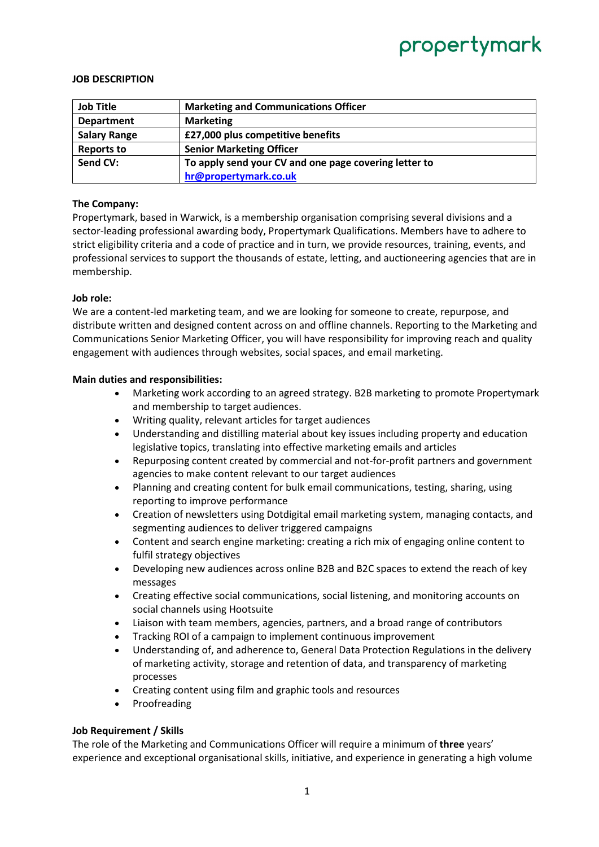# propertymark

#### **JOB DESCRIPTION**

| <b>Job Title</b>    | <b>Marketing and Communications Officer</b>           |
|---------------------|-------------------------------------------------------|
| <b>Department</b>   | <b>Marketing</b>                                      |
| <b>Salary Range</b> | £27,000 plus competitive benefits                     |
| <b>Reports to</b>   | <b>Senior Marketing Officer</b>                       |
| Send CV:            | To apply send your CV and one page covering letter to |
|                     | hr@propertymark.co.uk                                 |

#### **The Company:**

Propertymark, based in Warwick, is a membership organisation comprising several divisions and a sector-leading professional awarding body, Propertymark Qualifications. Members have to adhere to strict eligibility criteria and a code of practice and in turn, we provide resources, training, events, and professional services to support the thousands of estate, letting, and auctioneering agencies that are in membership.

#### **Job role:**

We are a content-led marketing team, and we are looking for someone to create, repurpose, and distribute written and designed content across on and offline channels. Reporting to the Marketing and Communications Senior Marketing Officer, you will have responsibility for improving reach and quality engagement with audiences through websites, social spaces, and email marketing.

### **Main duties and responsibilities:**

- Marketing work according to an agreed strategy. B2B marketing to promote Propertymark and membership to target audiences.
- Writing quality, relevant articles for target audiences
- Understanding and distilling material about key issues including property and education legislative topics, translating into effective marketing emails and articles
- Repurposing content created by commercial and not-for-profit partners and government agencies to make content relevant to our target audiences
- Planning and creating content for bulk email communications, testing, sharing, using reporting to improve performance
- Creation of newsletters using Dotdigital email marketing system, managing contacts, and segmenting audiences to deliver triggered campaigns
- Content and search engine marketing: creating a rich mix of engaging online content to fulfil strategy objectives
- Developing new audiences across online B2B and B2C spaces to extend the reach of key messages
- Creating effective social communications, social listening, and monitoring accounts on social channels using Hootsuite
- Liaison with team members, agencies, partners, and a broad range of contributors
- Tracking ROI of a campaign to implement continuous improvement
- Understanding of, and adherence to, General Data Protection Regulations in the delivery of marketing activity, storage and retention of data, and transparency of marketing processes
- Creating content using film and graphic tools and resources
- **Proofreading**

#### **Job Requirement / Skills**

The role of the Marketing and Communications Officer will require a minimum of **three** years' experience and exceptional organisational skills, initiative, and experience in generating a high volume